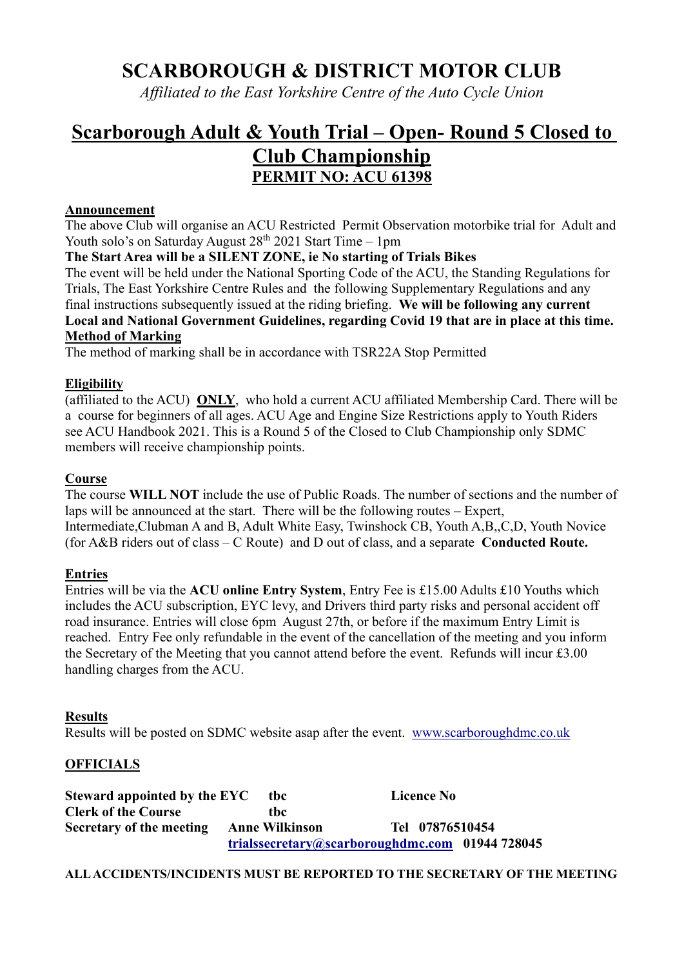## SCARBOROUGH & DISTRICT MOTOR CLUB

Affiliated to the East Yorkshire Centre of the Auto Cycle Union

# Scarborough Adult & Youth Trial – Open- Round 5 Closed to

### Club Championship PERMIT NO: ACU 61398

#### Announcement

The above Club will organise an ACU Restricted Permit Observation motorbike trial for Adult and Youth solo's on Saturday August  $28<sup>th</sup> 2021$  Start Time – 1pm

#### The Start Area will be a SILENT ZONE, ie No starting of Trials Bikes

The event will be held under the National Sporting Code of the ACU, the Standing Regulations for Trials, The East Yorkshire Centre Rules and the following Supplementary Regulations and any final instructions subsequently issued at the riding briefing. We will be following any current Local and National Government Guidelines, regarding Covid 19 that are in place at this time. Method of Marking

The method of marking shall be in accordance with TSR22A Stop Permitted

#### **Eligibility**

(affiliated to the ACU) ONLY, who hold a current ACU affiliated Membership Card. There will be a course for beginners of all ages. ACU Age and Engine Size Restrictions apply to Youth Riders see ACU Handbook 2021. This is a Round 5 of the Closed to Club Championship only SDMC members will receive championship points.

#### Course

The course WILL NOT include the use of Public Roads. The number of sections and the number of laps will be announced at the start. There will be the following routes – Expert, Intermediate,Clubman A and B, Adult White Easy, Twinshock CB, Youth A,B,,C,D, Youth Novice (for  $A&B$  riders out of class – C Route) and D out of class, and a separate Conducted Route.

#### Entries

Entries will be via the ACU online Entry System, Entry Fee is £15.00 Adults £10 Youths which includes the ACU subscription, EYC levy, and Drivers third party risks and personal accident off road insurance. Entries will close 6pm August 27th, or before if the maximum Entry Limit is reached. Entry Fee only refundable in the event of the cancellation of the meeting and you inform the Secretary of the Meeting that you cannot attend before the event. Refunds will incur £3.00 handling charges from the ACU.

#### Results

Results will be posted on SDMC website asap after the event. www.scarboroughdmc.co.uk

#### **OFFICIALS**

Steward appointed by the EYC tbc Licence No Clerk of the Course tbc Secretary of the meeting Anne Wilkinson Tel 07876510454 trialssecretary@scarboroughdmc.com 01944 728045

#### ALL ACCIDENTS/INCIDENTS MUST BE REPORTED TO THE SECRETARY OF THE MEETING